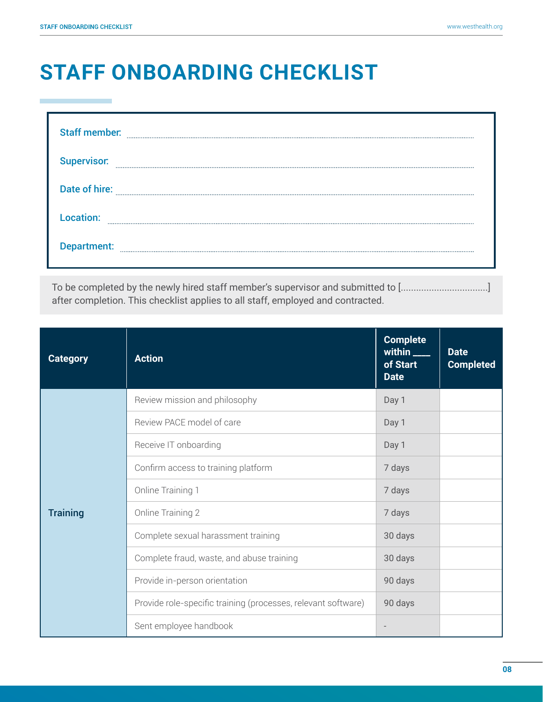a.

## **STAFF ONBOARDING CHECKLIST**

| <b>Staff member:</b> |  |
|----------------------|--|
| <b>Supervisor:</b>   |  |
| Date of hire:        |  |
| Location:            |  |
| Department:          |  |

To be completed by the newly hired staff member's supervisor and submitted to [..................................] after completion. This checklist applies to all staff, employed and contracted.

| <b>Category</b> | <b>Action</b>                                                 | <b>Complete</b><br>within $\frac{1}{2}$<br>of Start<br><b>Date</b> | <b>Date</b><br><b>Completed</b> |
|-----------------|---------------------------------------------------------------|--------------------------------------------------------------------|---------------------------------|
| <b>Training</b> | Review mission and philosophy                                 | Day 1                                                              |                                 |
|                 | Review PACE model of care                                     | Day 1                                                              |                                 |
|                 | Receive IT onboarding                                         | Day 1                                                              |                                 |
|                 | Confirm access to training platform                           | 7 days                                                             |                                 |
|                 | Online Training 1                                             | 7 days                                                             |                                 |
|                 | Online Training 2                                             | 7 days                                                             |                                 |
|                 | Complete sexual harassment training                           | 30 days                                                            |                                 |
|                 | Complete fraud, waste, and abuse training                     | 30 days                                                            |                                 |
|                 | Provide in-person orientation                                 | 90 days                                                            |                                 |
|                 | Provide role-specific training (processes, relevant software) | 90 days                                                            |                                 |
|                 | Sent employee handbook                                        |                                                                    |                                 |